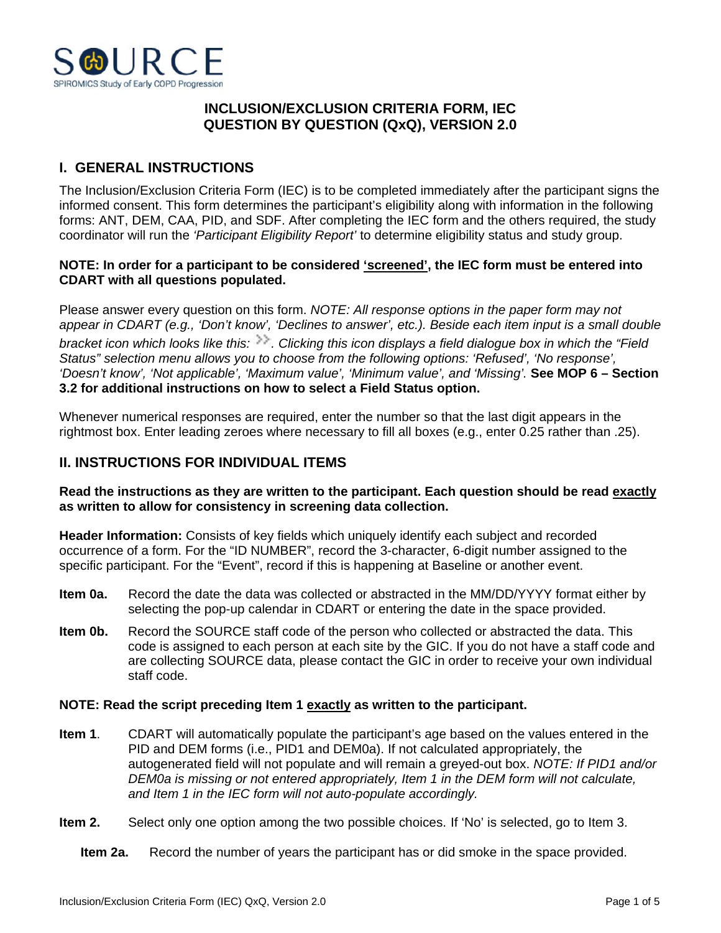

## **INCLUSION/EXCLUSION CRITERIA FORM, IEC QUESTION BY QUESTION (QxQ), VERSION 2.0**

# **I. GENERAL INSTRUCTIONS**

The Inclusion/Exclusion Criteria Form (IEC) is to be completed immediately after the participant signs the informed consent. This form determines the participant's eligibility along with information in the following forms: ANT, DEM, CAA, PID, and SDF. After completing the IEC form and the others required, the study coordinator will run the *'Participant Eligibility Report'* to determine eligibility status and study group.

## **NOTE: In order for a participant to be considered 'screened', the IEC form must be entered into CDART with all questions populated.**

Please answer every question on this form. *NOTE: All response options in the paper form may not appear in CDART (e.g., 'Don't know', 'Declines to answer', etc.). Beside each item input is a small double bracket icon which looks like this:*  $\gg$ . Clicking this icon displays a field dialogue box in which the "Field *Status" selection menu allows you to choose from the following options: 'Refused', 'No response', 'Doesn't know', 'Not applicable', 'Maximum value', 'Minimum value', and 'Missing'.* **See MOP 6 – Section 3.2 for additional instructions on how to select a Field Status option.**

Whenever numerical responses are required, enter the number so that the last digit appears in the rightmost box. Enter leading zeroes where necessary to fill all boxes (e.g., enter 0.25 rather than .25).

## **II. INSTRUCTIONS FOR INDIVIDUAL ITEMS**

### **Read the instructions as they are written to the participant. Each question should be read exactly as written to allow for consistency in screening data collection.**

**Header Information:** Consists of key fields which uniquely identify each subject and recorded occurrence of a form. For the "ID NUMBER", record the 3-character, 6-digit number assigned to the specific participant. For the "Event", record if this is happening at Baseline or another event.

- **Item 0a.** Record the date the data was collected or abstracted in the MM/DD/YYYY format either by selecting the pop-up calendar in CDART or entering the date in the space provided.
- **Item 0b.** Record the SOURCE staff code of the person who collected or abstracted the data. This code is assigned to each person at each site by the GIC. If you do not have a staff code and are collecting SOURCE data, please contact the GIC in order to receive your own individual staff code.

#### **NOTE: Read the script preceding Item 1 exactly as written to the participant.**

- **Item 1**. CDART will automatically populate the participant's age based on the values entered in the PID and DEM forms (i.e., PID1 and DEM0a). If not calculated appropriately, the autogenerated field will not populate and will remain a greyed-out box. *NOTE: If PID1 and/or DEM0a is missing or not entered appropriately, Item 1 in the DEM form will not calculate, and Item 1 in the IEC form will not auto-populate accordingly.*
- **Item 2.** Select only one option among the two possible choices. If 'No' is selected, go to Item 3.

**Item 2a.** Record the number of years the participant has or did smoke in the space provided.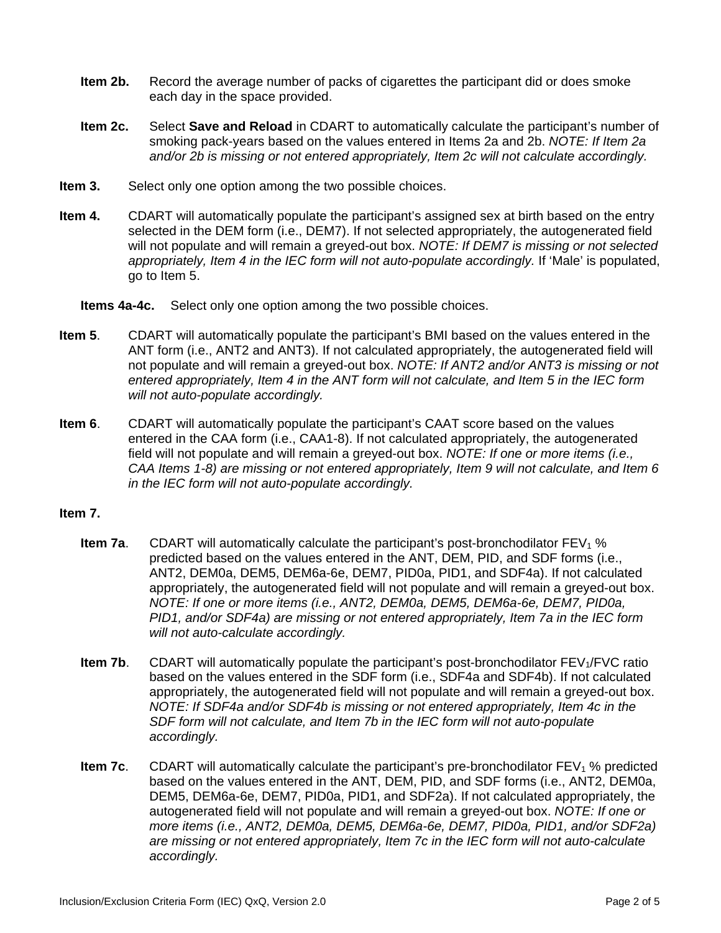- **Item 2b.** Record the average number of packs of cigarettes the participant did or does smoke each day in the space provided.
- **Item 2c.** Select **Save and Reload** in CDART to automatically calculate the participant's number of smoking pack-years based on the values entered in Items 2a and 2b. *NOTE: If Item 2a and/or 2b is missing or not entered appropriately, Item 2c will not calculate accordingly.*
- **Item 3.** Select only one option among the two possible choices.
- **Item 4.** CDART will automatically populate the participant's assigned sex at birth based on the entry selected in the DEM form (i.e., DEM7). If not selected appropriately, the autogenerated field will not populate and will remain a greyed-out box. *NOTE: If DEM7 is missing or not selected*  appropriately, Item 4 in the IEC form will not auto-populate accordingly. If 'Male' is populated, go to Item 5.

**Items 4a-4c.** Select only one option among the two possible choices.

- **Item 5**. CDART will automatically populate the participant's BMI based on the values entered in the ANT form (i.e., ANT2 and ANT3). If not calculated appropriately, the autogenerated field will not populate and will remain a greyed-out box. *NOTE: If ANT2 and/or ANT3 is missing or not entered appropriately, Item 4 in the ANT form will not calculate, and Item 5 in the IEC form will not auto-populate accordingly.*
- **Item 6**. CDART will automatically populate the participant's CAAT score based on the values entered in the CAA form (i.e., CAA1-8). If not calculated appropriately, the autogenerated field will not populate and will remain a greyed-out box. *NOTE: If one or more items (i.e., CAA Items 1-8) are missing or not entered appropriately, Item 9 will not calculate, and Item 6 in the IEC form will not auto-populate accordingly.*

## **Item 7.**

- **Item 7a.** CDART will automatically calculate the participant's post-bronchodilator  $FEV<sub>1</sub>$ % predicted based on the values entered in the ANT, DEM, PID, and SDF forms (i.e., ANT2, DEM0a, DEM5, DEM6a-6e, DEM7, PID0a, PID1, and SDF4a). If not calculated appropriately, the autogenerated field will not populate and will remain a greyed-out box. *NOTE: If one or more items (i.e., ANT2, DEM0a, DEM5, DEM6a-6e, DEM7, PID0a, PID1, and/or SDF4a) are missing or not entered appropriately, Item 7a in the IEC form will not auto-calculate accordingly.*
- **Item 7b.** CDART will automatically populate the participant's post-bronchodilator FEV<sub>1</sub>/FVC ratio based on the values entered in the SDF form (i.e., SDF4a and SDF4b). If not calculated appropriately, the autogenerated field will not populate and will remain a greyed-out box. *NOTE: If SDF4a and/or SDF4b is missing or not entered appropriately, Item 4c in the SDF form will not calculate, and Item 7b in the IEC form will not auto-populate accordingly.*
- **Item 7c.** CDART will automatically calculate the participant's pre-bronchodilator FEV<sub>1</sub> % predicted based on the values entered in the ANT, DEM, PID, and SDF forms (i.e., ANT2, DEM0a, DEM5, DEM6a-6e, DEM7, PID0a, PID1, and SDF2a). If not calculated appropriately, the autogenerated field will not populate and will remain a greyed-out box. *NOTE: If one or more items (i.e., ANT2, DEM0a, DEM5, DEM6a-6e, DEM7, PID0a, PID1, and/or SDF2a) are missing or not entered appropriately, Item 7c in the IEC form will not auto-calculate accordingly.*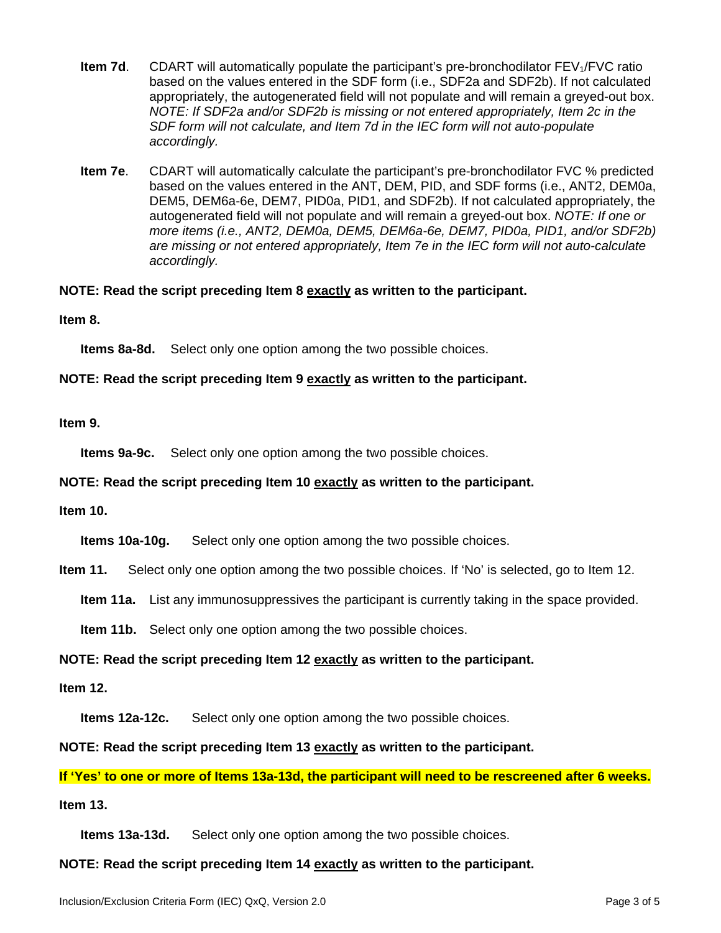- **Item 7d.** CDART will automatically populate the participant's pre-bronchodilator FEV<sub>1</sub>/FVC ratio based on the values entered in the SDF form (i.e., SDF2a and SDF2b). If not calculated appropriately, the autogenerated field will not populate and will remain a greyed-out box. *NOTE: If SDF2a and/or SDF2b is missing or not entered appropriately, Item 2c in the SDF form will not calculate, and Item 7d in the IEC form will not auto-populate accordingly.*
- **Item 7e**. CDART will automatically calculate the participant's pre-bronchodilator FVC % predicted based on the values entered in the ANT, DEM, PID, and SDF forms (i.e., ANT2, DEM0a, DEM5, DEM6a-6e, DEM7, PID0a, PID1, and SDF2b). If not calculated appropriately, the autogenerated field will not populate and will remain a greyed-out box. *NOTE: If one or more items (i.e., ANT2, DEM0a, DEM5, DEM6a-6e, DEM7, PID0a, PID1, and/or SDF2b) are missing or not entered appropriately, Item 7e in the IEC form will not auto-calculate accordingly.*

### **NOTE: Read the script preceding Item 8 exactly as written to the participant.**

**Item 8.**

**Items 8a-8d.** Select only one option among the two possible choices.

#### **NOTE: Read the script preceding Item 9 exactly as written to the participant.**

#### **Item 9.**

**Items 9a-9c.** Select only one option among the two possible choices.

#### **NOTE: Read the script preceding Item 10 exactly as written to the participant.**

#### **Item 10.**

**Items 10a-10g.** Select only one option among the two possible choices.

**Item 11.** Select only one option among the two possible choices. If 'No' is selected, go to Item 12.

**Item 11a.** List any immunosuppressives the participant is currently taking in the space provided.

**Item 11b.** Select only one option among the two possible choices.

#### **NOTE: Read the script preceding Item 12 exactly as written to the participant.**

#### **Item 12.**

**Items 12a-12c.** Select only one option among the two possible choices.

**NOTE: Read the script preceding Item 13 exactly as written to the participant.**

**If 'Yes' to one or more of Items 13a-13d, the participant will need to be rescreened after 6 weeks.**

## **Item 13.**

**Items 13a-13d.** Select only one option among the two possible choices.

**NOTE: Read the script preceding Item 14 exactly as written to the participant.**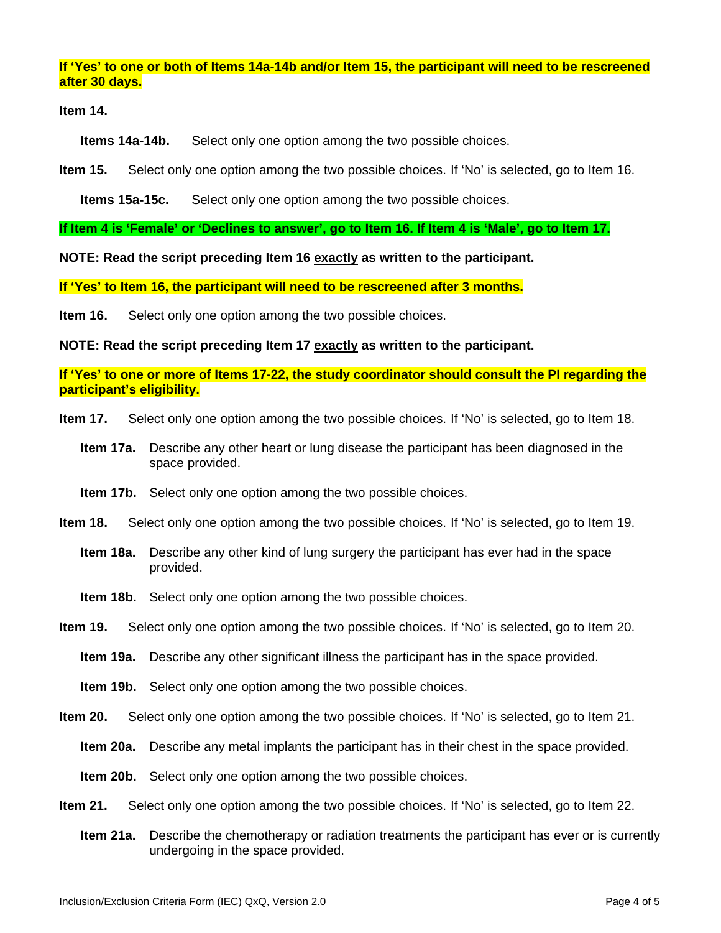### **If 'Yes' to one or both of Items 14a-14b and/or Item 15, the participant will need to be rescreened after 30 days.**

**Item 14.**

**Items 14a-14b.** Select only one option among the two possible choices.

**Item 15.** Select only one option among the two possible choices. If 'No' is selected, go to Item 16.

**Items 15a-15c.** Select only one option among the two possible choices.

**If Item 4 is 'Female' or 'Declines to answer', go to Item 16. If Item 4 is 'Male', go to Item 17.**

**NOTE: Read the script preceding Item 16 exactly as written to the participant.**

**If 'Yes' to Item 16, the participant will need to be rescreened after 3 months.**

**Item 16.** Select only one option among the two possible choices.

**NOTE: Read the script preceding Item 17 exactly as written to the participant.**

**If 'Yes' to one or more of Items 17-22, the study coordinator should consult the PI regarding the participant's eligibility.**

- **Item 17.** Select only one option among the two possible choices. If 'No' is selected, go to Item 18.
	- **Item 17a.** Describe any other heart or lung disease the participant has been diagnosed in the space provided.
	- **Item 17b.** Select only one option among the two possible choices.
- **Item 18.** Select only one option among the two possible choices. If 'No' is selected, go to Item 19.
	- **Item 18a.** Describe any other kind of lung surgery the participant has ever had in the space provided.
	- **Item 18b.** Select only one option among the two possible choices.
- **Item 19.** Select only one option among the two possible choices. If 'No' is selected, go to Item 20.
	- **Item 19a.** Describe any other significant illness the participant has in the space provided.
	- **Item 19b.** Select only one option among the two possible choices.
- **Item 20.** Select only one option among the two possible choices. If 'No' is selected, go to Item 21.
	- **Item 20a.** Describe any metal implants the participant has in their chest in the space provided.
	- **Item 20b.** Select only one option among the two possible choices.
- **Item 21.** Select only one option among the two possible choices. If 'No' is selected, go to Item 22.
	- **Item 21a.** Describe the chemotherapy or radiation treatments the participant has ever or is currently undergoing in the space provided.